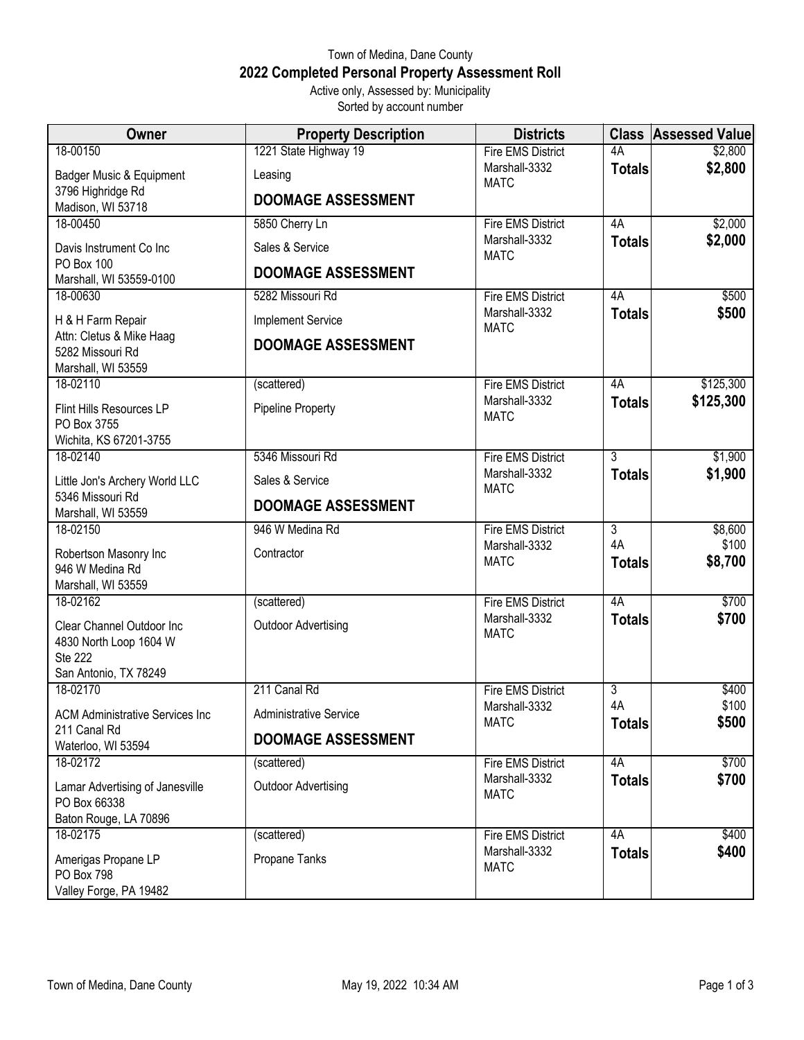## Town of Medina, Dane County **2022 Completed Personal Property Assessment Roll** Active only, Assessed by: Municipality

Sorted by account number

| Owner                                                                    | <b>Property Description</b> | <b>Districts</b>             |                     | <b>Class Assessed Value</b> |
|--------------------------------------------------------------------------|-----------------------------|------------------------------|---------------------|-----------------------------|
| 18-00150                                                                 | 1221 State Highway 19       | <b>Fire EMS District</b>     | 4A                  | \$2,800                     |
| Badger Music & Equipment                                                 | Leasing                     | Marshall-3332<br><b>MATC</b> | <b>Totals</b>       | \$2,800                     |
| 3796 Highridge Rd<br>Madison, WI 53718                                   | <b>DOOMAGE ASSESSMENT</b>   |                              |                     |                             |
| 18-00450                                                                 | 5850 Cherry Ln              | <b>Fire EMS District</b>     | 4A                  | \$2,000                     |
| Davis Instrument Co Inc                                                  | Sales & Service             | Marshall-3332<br><b>MATC</b> | <b>Totals</b>       | \$2,000                     |
| PO Box 100<br>Marshall, WI 53559-0100                                    | <b>DOOMAGE ASSESSMENT</b>   |                              |                     |                             |
| 18-00630                                                                 | 5282 Missouri Rd            | <b>Fire EMS District</b>     | 4A                  | \$500                       |
| H & H Farm Repair                                                        | <b>Implement Service</b>    | Marshall-3332<br><b>MATC</b> | <b>Totals</b>       | \$500                       |
| Attn: Cletus & Mike Haag<br>5282 Missouri Rd<br>Marshall, WI 53559       | <b>DOOMAGE ASSESSMENT</b>   |                              |                     |                             |
| 18-02110                                                                 | (scattered)                 | <b>Fire EMS District</b>     | 4A                  | \$125,300                   |
| Flint Hills Resources LP<br>PO Box 3755<br>Wichita, KS 67201-3755        | Pipeline Property           | Marshall-3332<br><b>MATC</b> | <b>Totals</b>       | \$125,300                   |
| 18-02140                                                                 | 5346 Missouri Rd            | <b>Fire EMS District</b>     | $\overline{3}$      | \$1,900                     |
| Little Jon's Archery World LLC                                           | Sales & Service             | Marshall-3332<br><b>MATC</b> | <b>Totals</b>       | \$1,900                     |
| 5346 Missouri Rd<br>Marshall, WI 53559                                   | <b>DOOMAGE ASSESSMENT</b>   |                              |                     |                             |
| 18-02150                                                                 | 946 W Medina Rd             | <b>Fire EMS District</b>     | $\overline{3}$      | \$8,600                     |
| Robertson Masonry Inc<br>946 W Medina Rd                                 | Contractor                  | Marshall-3332<br><b>MATC</b> | 4A<br><b>Totals</b> | \$100<br>\$8,700            |
| Marshall, WI 53559<br>18-02162                                           | (scattered)                 | <b>Fire EMS District</b>     | 4A                  | \$700                       |
| Clear Channel Outdoor Inc<br>4830 North Loop 1604 W<br><b>Ste 222</b>    | <b>Outdoor Advertising</b>  | Marshall-3332<br><b>MATC</b> | <b>Totals</b>       | \$700                       |
| San Antonio, TX 78249                                                    |                             |                              |                     |                             |
| 18-02170                                                                 | 211 Canal Rd                | <b>Fire EMS District</b>     | $\overline{3}$      | \$400                       |
| <b>ACM Administrative Services Inc</b>                                   | Administrative Service      | Marshall-3332<br><b>MATC</b> | 4A<br><b>Totals</b> | \$100<br>\$500              |
| 211 Canal Rd<br>Waterloo, WI 53594                                       | <b>DOOMAGE ASSESSMENT</b>   |                              |                     |                             |
| 18-02172                                                                 | (scattered)                 | <b>Fire EMS District</b>     | 4A                  | \$700                       |
| Lamar Advertising of Janesville<br>PO Box 66338<br>Baton Rouge, LA 70896 | <b>Outdoor Advertising</b>  | Marshall-3332<br><b>MATC</b> | <b>Totals</b>       | \$700                       |
| 18-02175                                                                 | (scattered)                 | Fire EMS District            | 4A                  | \$400                       |
| Amerigas Propane LP<br><b>PO Box 798</b><br>Valley Forge, PA 19482       | Propane Tanks               | Marshall-3332<br><b>MATC</b> | <b>Totals</b>       | \$400                       |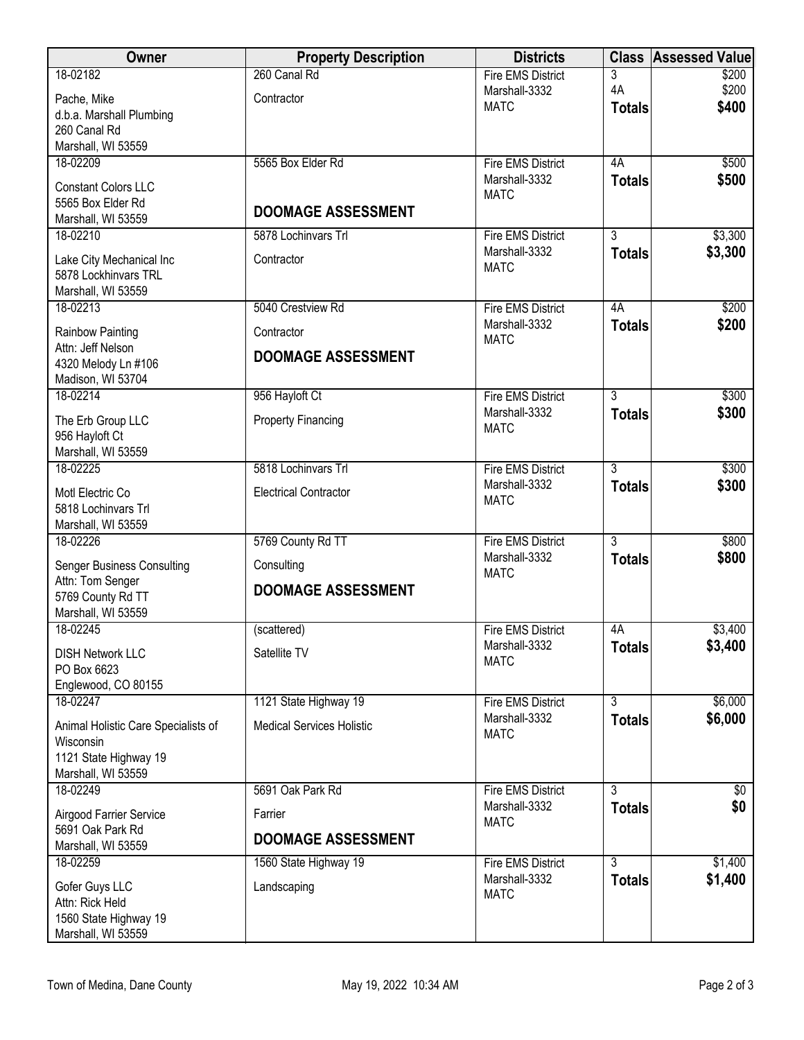| Owner                                            | <b>Property Description</b>      | <b>Districts</b>                          |                | <b>Class Assessed Value</b> |
|--------------------------------------------------|----------------------------------|-------------------------------------------|----------------|-----------------------------|
| 18-02182                                         | 260 Canal Rd                     | <b>Fire EMS District</b>                  | 3              | \$200                       |
| Pache, Mike                                      | Contractor                       | Marshall-3332<br><b>MATC</b>              | 4A             | \$200<br>\$400              |
| d.b.a. Marshall Plumbing                         |                                  |                                           | <b>Totals</b>  |                             |
| 260 Canal Rd                                     |                                  |                                           |                |                             |
| Marshall, WI 53559<br>18-02209                   | 5565 Box Elder Rd                | <b>Fire EMS District</b>                  | 4A             | \$500                       |
|                                                  |                                  | Marshall-3332                             | <b>Totals</b>  | \$500                       |
| <b>Constant Colors LLC</b>                       |                                  | <b>MATC</b>                               |                |                             |
| 5565 Box Elder Rd<br>Marshall, WI 53559          | <b>DOOMAGE ASSESSMENT</b>        |                                           |                |                             |
| 18-02210                                         | 5878 Lochinvars Trl              | <b>Fire EMS District</b>                  | $\overline{3}$ | \$3,300                     |
|                                                  |                                  | Marshall-3332                             | <b>Totals</b>  | \$3,300                     |
| Lake City Mechanical Inc<br>5878 Lockhinvars TRL | Contractor                       | <b>MATC</b>                               |                |                             |
| Marshall, WI 53559                               |                                  |                                           |                |                             |
| 18-02213                                         | 5040 Crestview Rd                | <b>Fire EMS District</b>                  | 4A             | \$200                       |
| Rainbow Painting                                 | Contractor                       | Marshall-3332                             | <b>Totals</b>  | \$200                       |
| Attn: Jeff Nelson                                |                                  | <b>MATC</b>                               |                |                             |
| 4320 Melody Ln #106                              | <b>DOOMAGE ASSESSMENT</b>        |                                           |                |                             |
| Madison, WI 53704                                |                                  |                                           |                |                             |
| 18-02214                                         | 956 Hayloft Ct                   | <b>Fire EMS District</b>                  | $\overline{3}$ | \$300                       |
| The Erb Group LLC                                | <b>Property Financing</b>        | Marshall-3332                             | <b>Totals</b>  | \$300                       |
| 956 Hayloft Ct                                   |                                  | <b>MATC</b>                               |                |                             |
| Marshall, WI 53559                               |                                  |                                           |                |                             |
| 18-02225                                         | 5818 Lochinvars Trl              | <b>Fire EMS District</b>                  | $\overline{3}$ | \$300                       |
| Motl Electric Co                                 | <b>Electrical Contractor</b>     | Marshall-3332<br><b>MATC</b>              | <b>Totals</b>  | \$300                       |
| 5818 Lochinvars Trl                              |                                  |                                           |                |                             |
| Marshall, WI 53559<br>18-02226                   | 5769 County Rd TT                | <b>Fire EMS District</b>                  | $\overline{3}$ | \$800                       |
|                                                  |                                  | Marshall-3332                             | <b>Totals</b>  | \$800                       |
| <b>Senger Business Consulting</b>                | Consulting                       | <b>MATC</b>                               |                |                             |
| Attn: Tom Senger<br>5769 County Rd TT            | <b>DOOMAGE ASSESSMENT</b>        |                                           |                |                             |
| Marshall, WI 53559                               |                                  |                                           |                |                             |
| 18-02245                                         | (scattered)                      | <b>Fire EMS District</b>                  | 4A             | \$3,400                     |
| <b>DISH Network LLC</b>                          | Satellite TV                     | Marshall-3332                             | <b>Totals</b>  | \$3,400                     |
| PO Box 6623                                      |                                  | <b>MATC</b>                               |                |                             |
| Englewood, CO 80155                              |                                  |                                           |                |                             |
| 18-02247                                         | 1121 State Highway 19            | Fire EMS District                         | $\overline{3}$ | \$6,000                     |
| Animal Holistic Care Specialists of              | <b>Medical Services Holistic</b> | Marshall-3332                             | <b>Totals</b>  | \$6,000                     |
| Wisconsin                                        |                                  | <b>MATC</b>                               |                |                             |
| 1121 State Highway 19                            |                                  |                                           |                |                             |
| Marshall, WI 53559                               |                                  |                                           |                |                             |
| 18-02249                                         | 5691 Oak Park Rd                 | <b>Fire EMS District</b><br>Marshall-3332 | 3              | $\sqrt[6]{30}$              |
| Airgood Farrier Service                          | Farrier                          | <b>MATC</b>                               | <b>Totals</b>  | \$0                         |
| 5691 Oak Park Rd                                 | <b>DOOMAGE ASSESSMENT</b>        |                                           |                |                             |
| Marshall, WI 53559<br>18-02259                   | 1560 State Highway 19            | <b>Fire EMS District</b>                  | $\overline{3}$ | \$1,400                     |
|                                                  |                                  | Marshall-3332                             | <b>Totals</b>  | \$1,400                     |
| Gofer Guys LLC                                   | Landscaping                      | <b>MATC</b>                               |                |                             |
| Attn: Rick Held<br>1560 State Highway 19         |                                  |                                           |                |                             |
| Marshall, WI 53559                               |                                  |                                           |                |                             |